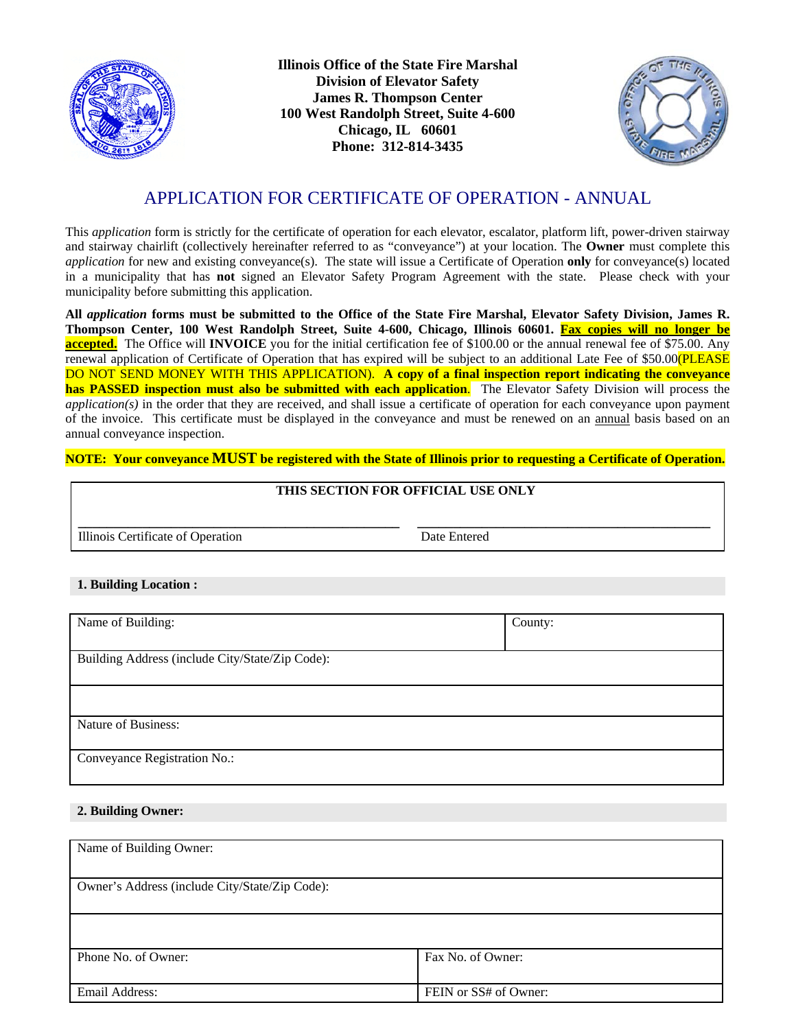

**Illinois Office of the State Fire Marshal Division of Elevator Safety James R. Thompson Center 100 West Randolph Street, Suite 4-600 Chicago, IL 60601 Phone: 312-814-3435**



# APPLICATION FOR CERTIFICATE OF OPERATION - ANNUAL

This *application* form is strictly for the certificate of operation for each elevator, escalator, platform lift, power-driven stairway and stairway chairlift (collectively hereinafter referred to as "conveyance") at your location. The **Owner** must complete this *application* for new and existing conveyance(s). The state will issue a Certificate of Operation **only** for conveyance(s) located in a municipality that has **not** signed an Elevator Safety Program Agreement with the state. Please check with your municipality before submitting this application.

**All** *application* **forms must be submitted to the Office of the State Fire Marshal, Elevator Safety Division, James R. Thompson Center, 100 West Randolph Street, Suite 4-600, Chicago, Illinois 60601. Fax copies will no longer be accepted.** The Office will **INVOICE** you for the initial certification fee of \$100.00 or the annual renewal fee of \$75.00. Any renewal application of Certificate of Operation that has expired will be subject to an additional Late Fee of \$50.00 (PLEASE) DO NOT SEND MONEY WITH THIS APPLICATION). **A copy of a final inspection report indicating the conveyance has PASSED inspection must also be submitted with each application**. The Elevator Safety Division will process the *application(s)* in the order that they are received, and shall issue a certificate of operation for each conveyance upon payment of the invoice. This certificate must be displayed in the conveyance and must be renewed on an annual basis based on an annual conveyance inspection.

**NOTE: Your conveyance MUST be registered with the State of Illinois prior to requesting a Certificate of Operation.**

### **THIS SECTION FOR OFFICIAL USE ONLY**

**\_\_\_\_\_\_\_\_\_\_\_\_\_\_\_\_\_\_\_\_\_\_\_\_\_\_\_\_\_\_\_\_\_\_\_\_\_\_\_\_\_\_\_\_\_ \_\_\_\_\_\_\_\_\_\_\_\_\_\_\_\_\_\_\_\_\_\_\_\_\_\_\_\_\_\_\_\_\_\_\_\_\_\_\_\_\_**  Illinois Certificate of Operation Date Entered

#### **1. Building Location :**

| Name of Building:                               | County: |
|-------------------------------------------------|---------|
|                                                 |         |
| Building Address (include City/State/Zip Code): |         |
|                                                 |         |
|                                                 |         |
| Nature of Business:                             |         |
| Conveyance Registration No.:                    |         |

#### **2. Building Owner:**

| Name of Building Owner:                        |                       |
|------------------------------------------------|-----------------------|
| Owner's Address (include City/State/Zip Code): |                       |
|                                                |                       |
| Phone No. of Owner:                            | Fax No. of Owner:     |
| Email Address:                                 | FEIN or SS# of Owner: |